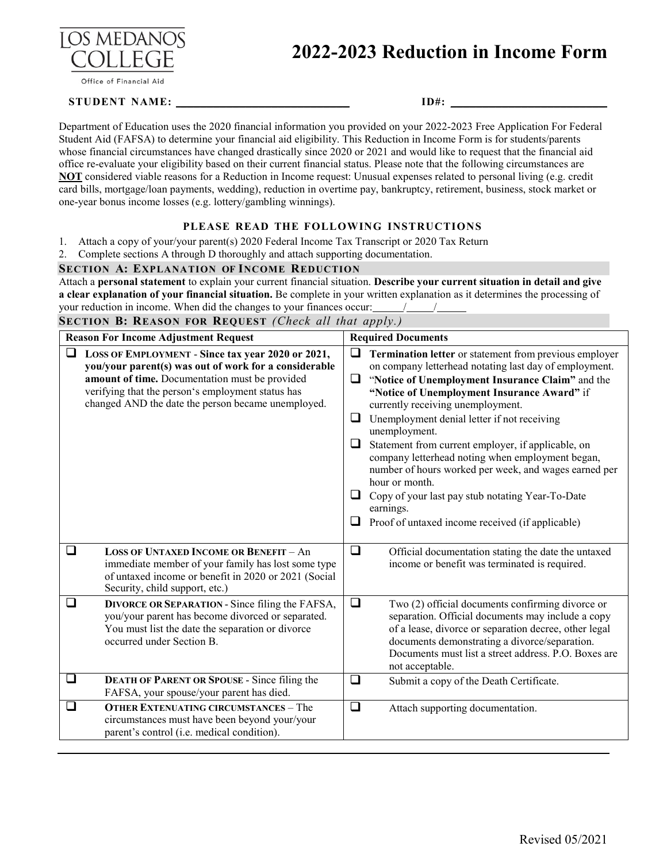

#### Office of Financial Aid

# **2022-2023 Reduction in Income Form**

### **STUDENT NAME: \_\_\_\_\_\_\_\_\_\_\_\_\_\_\_\_\_\_\_\_\_\_\_\_\_\_ ID#: \_\_\_\_\_\_\_\_\_\_\_\_\_\_\_\_\_\_\_\_\_\_\_\_**

Department of Education uses the 2020 financial information you provided on your 2022-2023 Free Application For Federal Student Aid (FAFSA) to determine your financial aid eligibility. This Reduction in Income Form is for students/parents whose financial circumstances have changed drastically since 2020 or 2021 and would like to request that the financial aid office re-evaluate your eligibility based on their current financial status. Please note that the following circumstances are **NOT** considered viable reasons for a Reduction in Income request: Unusual expenses related to personal living (e.g. credit card bills, mortgage/loan payments, wedding), reduction in overtime pay, bankruptcy, retirement, business, stock market or one-year bonus income losses (e.g. lottery/gambling winnings).

#### **PLEASE READ THE FOLLOWING INSTRUCTIONS**

1. Attach a copy of your/your parent(s) 2020 Federal Income Tax Transcript or 2020 Tax Return

2. Complete sections A through D thoroughly and attach supporting documentation.

#### **SECTION A: EXPLANATION OF INCOME REDUCTION**

Attach a **personal statement** to explain your current financial situation. **Describe your current situation in detail and give a clear explanation of your financial situation.** Be complete in your written explanation as it determines the processing of your reduction in income. When did the changes to your finances occur: /////////

**SECTION B: REASON FOR REQUEST** *(Check all that apply.)*

| <b>Reason For Income Adjustment Request</b> |                                                                                                                                                                                                                                                                         |                            | <b>Required Documents</b>                                                                                                                                                                                                                                                                                                                                                                                                                                                                                                                                                                                                          |  |  |
|---------------------------------------------|-------------------------------------------------------------------------------------------------------------------------------------------------------------------------------------------------------------------------------------------------------------------------|----------------------------|------------------------------------------------------------------------------------------------------------------------------------------------------------------------------------------------------------------------------------------------------------------------------------------------------------------------------------------------------------------------------------------------------------------------------------------------------------------------------------------------------------------------------------------------------------------------------------------------------------------------------------|--|--|
| ❏                                           | LOSS OF EMPLOYMENT - Since tax year 2020 or 2021,<br>you/your parent(s) was out of work for a considerable<br>amount of time. Documentation must be provided<br>verifying that the person's employment status has<br>changed AND the date the person became unemployed. | ❏<br>❏<br>⊔<br>⊔<br>⊔<br>⊔ | Termination letter or statement from previous employer<br>on company letterhead notating last day of employment.<br>"Notice of Unemployment Insurance Claim" and the<br>"Notice of Unemployment Insurance Award" if<br>currently receiving unemployment.<br>Unemployment denial letter if not receiving<br>unemployment.<br>Statement from current employer, if applicable, on<br>company letterhead noting when employment began,<br>number of hours worked per week, and wages earned per<br>hour or month.<br>Copy of your last pay stub notating Year-To-Date<br>earnings.<br>Proof of untaxed income received (if applicable) |  |  |
| ❏                                           | <b>LOSS OF UNTAXED INCOME OR BENEFIT - An</b><br>immediate member of your family has lost some type<br>of untaxed income or benefit in 2020 or 2021 (Social<br>Security, child support, etc.)                                                                           | ❏                          | Official documentation stating the date the untaxed<br>income or benefit was terminated is required.                                                                                                                                                                                                                                                                                                                                                                                                                                                                                                                               |  |  |
| ⊔                                           | <b>DIVORCE OR SEPARATION - Since filing the FAFSA,</b><br>you/your parent has become divorced or separated.<br>You must list the date the separation or divorce<br>occurred under Section B.                                                                            | ❏                          | Two (2) official documents confirming divorce or<br>separation. Official documents may include a copy<br>of a lease, divorce or separation decree, other legal<br>documents demonstrating a divorce/separation.<br>Documents must list a street address. P.O. Boxes are<br>not acceptable.                                                                                                                                                                                                                                                                                                                                         |  |  |
| ❏                                           | <b>DEATH OF PARENT OR SPOUSE - Since filing the</b><br>FAFSA, your spouse/your parent has died.                                                                                                                                                                         | ❏                          | Submit a copy of the Death Certificate.                                                                                                                                                                                                                                                                                                                                                                                                                                                                                                                                                                                            |  |  |
| ı                                           | <b>OTHER EXTENUATING CIRCUMSTANCES - The</b><br>circumstances must have been beyond your/your<br>parent's control (i.e. medical condition).                                                                                                                             | $\Box$                     | Attach supporting documentation.                                                                                                                                                                                                                                                                                                                                                                                                                                                                                                                                                                                                   |  |  |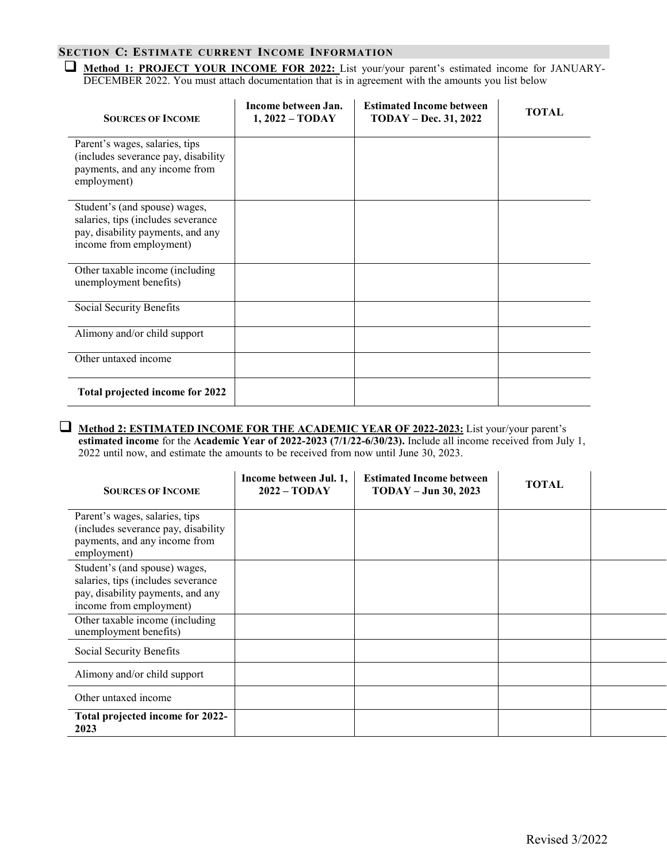## **SECTION C: ESTIMATE CURRENT INCOME INFORMATION**

 **Method 1: PROJECT YOUR INCOME FOR 2022:** List your/your parent's estimated income for JANUARY-DECEMBER 2022. You must attach documentation that is in agreement with the amounts you list below

| <b>SOURCES OF INCOME</b>                                                                                                            | Income between Jan.<br>$1,2022 - TODAY$ | <b>Estimated Income between</b><br><b>TODAY - Dec. 31, 2022</b> | <b>TOTAL</b> |
|-------------------------------------------------------------------------------------------------------------------------------------|-----------------------------------------|-----------------------------------------------------------------|--------------|
| Parent's wages, salaries, tips<br>(includes severance pay, disability<br>payments, and any income from<br>employment)               |                                         |                                                                 |              |
| Student's (and spouse) wages,<br>salaries, tips (includes severance<br>pay, disability payments, and any<br>income from employment) |                                         |                                                                 |              |
| Other taxable income (including<br>unemployment benefits)                                                                           |                                         |                                                                 |              |
| Social Security Benefits                                                                                                            |                                         |                                                                 |              |
| Alimony and/or child support                                                                                                        |                                         |                                                                 |              |
| Other untaxed income                                                                                                                |                                         |                                                                 |              |
| Total projected income for 2022                                                                                                     |                                         |                                                                 |              |

#### **Method 2: ESTIMATED INCOME FOR THE ACADEMIC YEAR OF 2022-2023:** List your/your parent's **estimated income** for the **Academic Year of 2022-2023 (7/1/22-6/30/23).** Include all income received from July 1, 2022 until now, and estimate the amounts to be received from now until June 30, 2023.

| <b>SOURCES OF INCOME</b>                                                                                                            | Income between Jul. 1,<br>$2022 - TODAY$ | <b>Estimated Income between</b><br>$TODAY - Jun 30, 2023$ | <b>TOTAL</b> |  |
|-------------------------------------------------------------------------------------------------------------------------------------|------------------------------------------|-----------------------------------------------------------|--------------|--|
| Parent's wages, salaries, tips<br>(includes severance pay, disability)<br>payments, and any income from<br>employment)              |                                          |                                                           |              |  |
| Student's (and spouse) wages,<br>salaries, tips (includes severance<br>pay, disability payments, and any<br>income from employment) |                                          |                                                           |              |  |
| Other taxable income (including<br>unemployment benefits)                                                                           |                                          |                                                           |              |  |
| Social Security Benefits                                                                                                            |                                          |                                                           |              |  |
| Alimony and/or child support                                                                                                        |                                          |                                                           |              |  |
| Other untaxed income                                                                                                                |                                          |                                                           |              |  |
| Total projected income for 2022-<br>2023                                                                                            |                                          |                                                           |              |  |